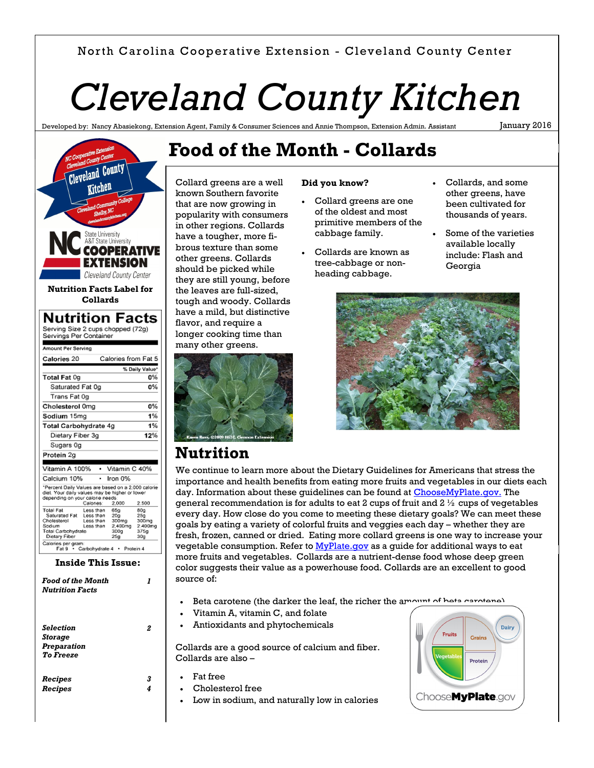#### North Carolina Cooperative Extension - Cleveland County Center

# *Cleveland County Kitchen*

Developed by: Nancy Abasiekong, Extension Agent, Family & Consumer Sciences and Annie Thompson, Extension Admin. Assistant

January 2016



*Storage Preparation To Freeze*

*Recipes Recipes*

## **Food of the Month - Collards**

Collard greens are a well known Southern favorite that are now growing in popularity with consumers in other regions. Collards have a tougher, more fibrous texture than some other greens. Collards should be picked while they are still young, before the leaves are full-sized, tough and woody. Collards have a mild, but distinctive flavor, and require a longer cooking time than many other greens.



**Nutrition**

#### **Did you know?**

- Collard greens are one of the oldest and most primitive members of the cabbage family.
- Collards are known as tree-cabbage or nonheading cabbage.
- Collards, and some other greens, have been cultivated for thousands of years.
- Some of the varieties available locally include: Flash and Georgia



### We continue to learn more about the Dietary Guidelines for Americans that stress the importance and health benefits from eating more fruits and vegetables in our diets each day. Information about these guidelines can be found at [ChooseMyPlate.gov.](http://choosemyplate.gov/) The

general recommendation is for adults to eat 2 cups of fruit and  $2 \frac{1}{2}$  cups of vegetables every day. How close do you come to meeting these dietary goals? We can meet these goals by eating a variety of colorful fruits and veggies each day – whether they are fresh, frozen, canned or dried. Eating more collard greens is one way to increase your vegetable consumption. Refer to [MyPlate.gov](http://myplate.gov/) as a quide for additional ways to eat more fruits and vegetables. Collards are a nutrient-dense food whose deep green color suggests their value as a powerhouse food. Collards are an excellent to good source of:

- Beta carotene (the darker the leaf, the richer the amount of beta carotene)
- Vitamin A, vitamin C, and folate
- Antioxidants and phytochemicals

Collards are a good source of calcium and fiber. Collards are also –

Fat free

*3 4*

- Cholesterol free
	- Low in sodium, and naturally low in calories

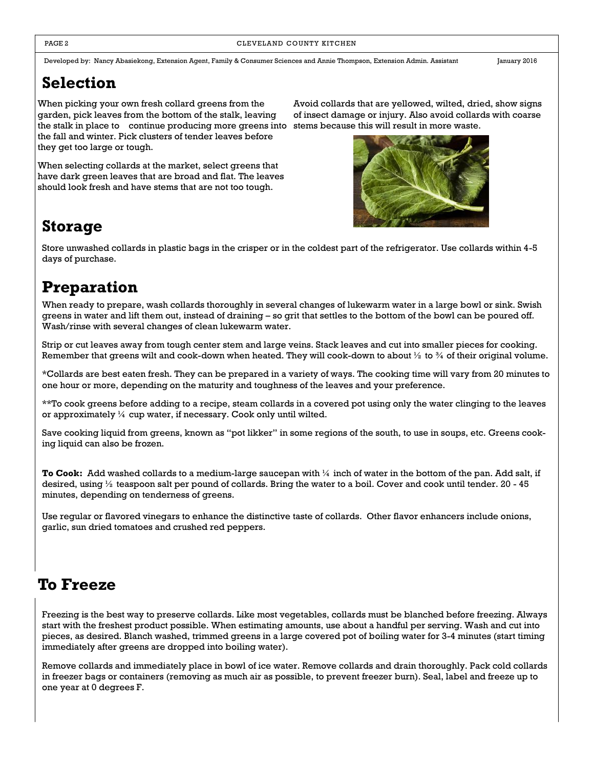Developed by: Nancy Abasiekong, Extension Agent, Family & Consumer Sciences and Annie Thompson, Extension Admin. Assistant January 2016

### **Selection**

When picking your own fresh collard greens from the garden, pick leaves from the bottom of the stalk, leaving the stalk in place to continue producing more greens into stems because this will result in more waste. the fall and winter. Pick clusters of tender leaves before they get too large or tough.

When selecting collards at the market, select greens that have dark green leaves that are broad and flat. The leaves should look fresh and have stems that are not too tough.

Avoid collards that are yellowed, wilted, dried, show signs of insect damage or injury. Also avoid collards with coarse



### **Storage**

Store unwashed collards in plastic bags in the crisper or in the coldest part of the refrigerator. Use collards within 4-5 days of purchase.

### **Preparation**

When ready to prepare, wash collards thoroughly in several changes of lukewarm water in a large bowl or sink. Swish greens in water and lift them out, instead of draining – so grit that settles to the bottom of the bowl can be poured off. Wash/rinse with several changes of clean lukewarm water.

Strip or cut leaves away from tough center stem and large veins. Stack leaves and cut into smaller pieces for cooking. Remember that greens wilt and cook-down when heated. They will cook-down to about  $\frac{1}{2}$  to  $\frac{3}{4}$  of their original volume.

\*Collards are best eaten fresh. They can be prepared in a variety of ways. The cooking time will vary from 20 minutes to one hour or more, depending on the maturity and toughness of the leaves and your preference.

\*\*To cook greens before adding to a recipe, steam collards in a covered pot using only the water clinging to the leaves or approximately  $\frac{1}{4}$  cup water, if necessary. Cook only until wilted.

Save cooking liquid from greens, known as "pot likker" in some regions of the south, to use in soups, etc. Greens cooking liquid can also be frozen.

**To Cook:** Add washed collards to a medium-large saucepan with ¼ inch of water in the bottom of the pan. Add salt, if desired, using  $\frac{1}{2}$  teaspoon salt per pound of collards. Bring the water to a boil. Cover and cook until tender. 20 - 45 minutes, depending on tenderness of greens.

Use regular or flavored vinegars to enhance the distinctive taste of collards. Other flavor enhancers include onions, garlic, sun dried tomatoes and crushed red peppers.

### **To Freeze**

Freezing is the best way to preserve collards. Like most vegetables, collards must be blanched before freezing. Always start with the freshest product possible. When estimating amounts, use about a handful per serving. Wash and cut into pieces, as desired. Blanch washed, trimmed greens in a large covered pot of boiling water for 3-4 minutes (start timing immediately after greens are dropped into boiling water).

Remove collards and immediately place in bowl of ice water. Remove collards and drain thoroughly. Pack cold collards in freezer bags or containers (removing as much air as possible, to prevent freezer burn). Seal, label and freeze up to one year at 0 degrees F.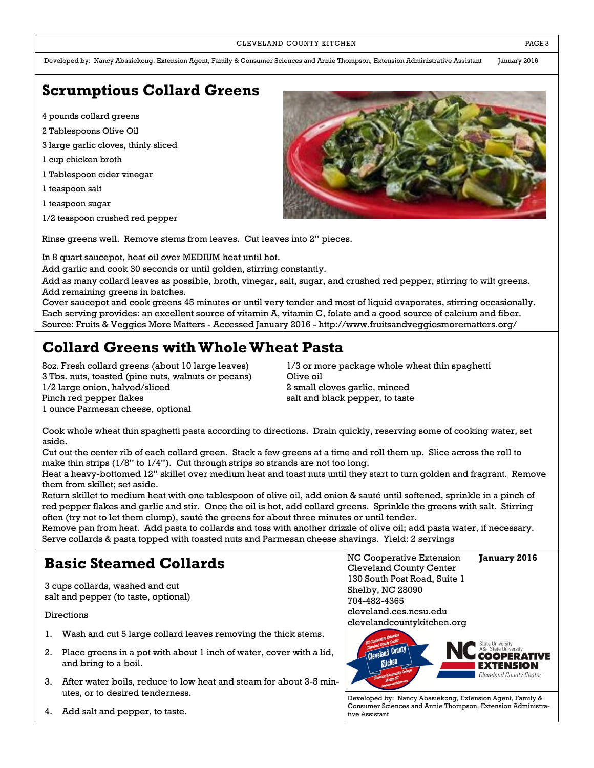#### CLEVELAND COUNTY KITCHEN **EXECUTE A RESISTENT COUNTY KITCHEN**

Developed by: Nancy Abasiekong, Extension Agent, Family & Consumer Sciences and Annie Thompson, Extension Administrative Assistant January 2016

#### **Scrumptious Collard Greens**

- 4 pounds collard greens
- 2 Tablespoons Olive Oil
- 3 large garlic cloves, thinly sliced
- 1 cup chicken broth
- 1 Tablespoon cider vinegar
- 1 teaspoon salt
- 1 teaspoon sugar
- 1/2 teaspoon crushed red pepper

Rinse greens well. Remove stems from leaves. Cut leaves into 2" pieces.

In 8 quart saucepot, heat oil over MEDIUM heat until hot.

Add garlic and cook 30 seconds or until golden, stirring constantly.

Add as many collard leaves as possible, broth, vinegar, salt, sugar, and crushed red pepper, stirring to wilt greens. Add remaining greens in batches.

Cover saucepot and cook greens 45 minutes or until very tender and most of liquid evaporates, stirring occasionally. Each serving provides: an excellent source of vitamin A, vitamin C, folate and a good source of calcium and fiber. Source: Fruits & Veggies More Matters - Accessed January 2016 - http://www.fruitsandveggiesmorematters.org/

#### **Collard Greens with Whole Wheat Pasta**

3 Tbs. nuts, toasted (pine nuts, walnuts or pecans) Olive oil 1/2 large onion, halved/sliced 2 small cloves garlic, minced Pinch red pepper flakes salt and black pepper, to taste 1 ounce Parmesan cheese, optional

8oz. Fresh collard greens (about 10 large leaves) 1/3 or more package whole wheat thin spaghetti

Cook whole wheat thin spaghetti pasta according to directions. Drain quickly, reserving some of cooking water, set aside.

Cut out the center rib of each collard green. Stack a few greens at a time and roll them up. Slice across the roll to make thin strips (1/8" to 1/4"). Cut through strips so strands are not too long.

Heat a heavy-bottomed 12" skillet over medium heat and toast nuts until they start to turn golden and fragrant. Remove them from skillet; set aside.

Return skillet to medium heat with one tablespoon of olive oil, add onion & sauté until softened, sprinkle in a pinch of red pepper flakes and garlic and stir. Once the oil is hot, add collard greens. Sprinkle the greens with salt. Stirring often (try not to let them clump), sauté the greens for about three minutes or until tender.

Remove pan from heat. Add pasta to collards and toss with another drizzle of olive oil; add pasta water, if necessary. Serve collards & pasta topped with toasted nuts and Parmesan cheese shavings. Yield: 2 servings

#### **Basic Steamed Collards**

3 cups collards, washed and cut salt and pepper (to taste, optional)

Directions

- 1. Wash and cut 5 large collard leaves removing the thick stems.
- 2. Place greens in a pot with about 1 inch of water, cover with a lid, and bring to a boil.
- 3. After water boils, reduce to low heat and steam for about 3-5 minutes, or to desired tenderness.
- 4. Add salt and pepper, to taste.

NC Cooperative Extension **January 2016** Cleveland County Center 130 South Post Road, Suite 1 Shelby, NC 28090 704-482-4365 cleveland.ces.ncsu.edu



Developed by: Nancy Abasiekong, Extension Agent, Family & Consumer Sciences and Annie Thompson, Extension Administrative Assistant